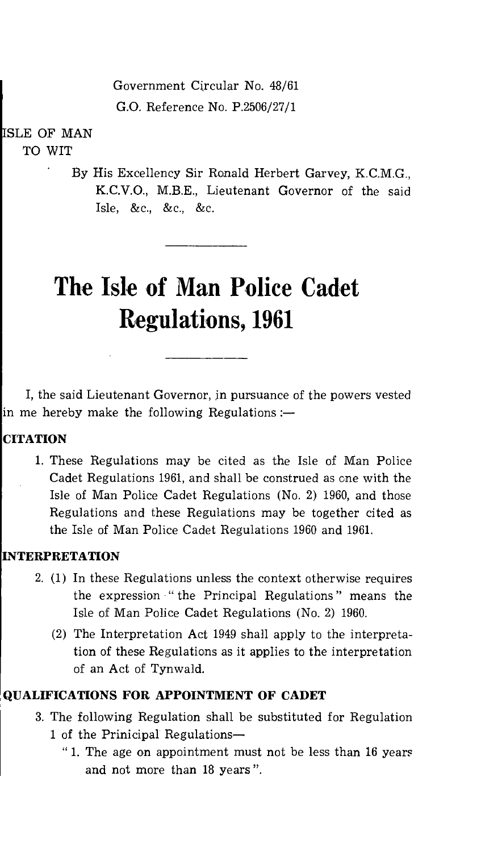Government Circular No. 48/61 G.O. Reference No. P.2506/27/1

SLE OF MAN TO WIT

> By His Excellency Sir Ronald Herbert Garvey, K.C.M.G., K.C.V.O., M.B.E., Lieutenant Governor of the said Isle, &c., &c., &c.

# **The Isle of Man Police Cadet Regulations, 1961**

I, the said Lieutenant Governor, in pursuance of the powers vested in me hereby make the following Regulations : $-$ 

## **CITATION**

1. These Regulations may be cited as the Isle of Man Police Cadet Regulations 1961, and shall be construed as one with the Isle of Man Police Cadet Regulations (No. 2) 1960, and those Regulations and these Regulations may be together cited as the Isle of Man Police Cadet Regulations 1960 and 1961.

## **INTERPRETATION**

- 2. (1) In these Regulations unless the context otherwise requires the expression " the Principal Regulations " means the Isle of Man Police Cadet Regulations (No. 2) 1960.
	- (2) The Interpretation Act 1949 shall apply to the interpretation of these Regulations as it applies to the interpretation of an Act of Tynwald.

## **QUALIFICATIONS FOR APPOINTMENT OF CADET**

- 3. The following Regulation shall be substituted for Regulation 1 of the Prinicipal Regulations-
	- " 1. The age on appointment must not be less than 16 years and not more than 18 years ".